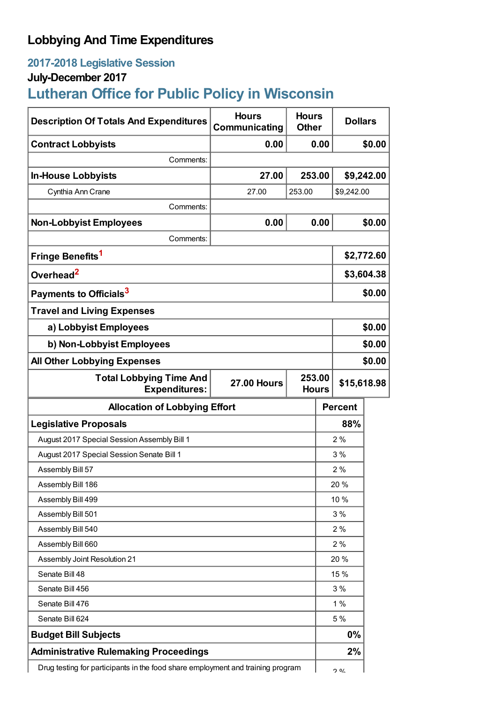# **Lobbying And Time Expenditures**

# **2017-2018 Legislative Session**

## **July-December 2017**

# **Lutheran Office for Public Policy in Wisconsin**

| <b>Description Of Totals And Expenditures</b>                                   | <b>Hours</b><br>Communicating | <b>Hours</b><br><b>Other</b> |      | <b>Dollars</b> |        |
|---------------------------------------------------------------------------------|-------------------------------|------------------------------|------|----------------|--------|
| <b>Contract Lobbyists</b>                                                       | 0.00                          | 0.00                         |      | \$0.00         |        |
| Comments:                                                                       |                               |                              |      |                |        |
| <b>In-House Lobbyists</b>                                                       | 27.00                         | 253.00                       |      | \$9,242.00     |        |
| Cynthia Ann Crane                                                               | 27.00                         | 253.00                       |      | \$9,242.00     |        |
| Comments:                                                                       |                               |                              |      |                |        |
| <b>Non-Lobbyist Employees</b>                                                   | 0.00                          | 0.00                         |      | \$0.00         |        |
| Comments:                                                                       |                               |                              |      |                |        |
| Fringe Benefits <sup>1</sup>                                                    |                               |                              |      | \$2,772.60     |        |
| Overhead <sup>2</sup>                                                           |                               |                              |      | \$3,604.38     |        |
| Payments to Officials <sup>3</sup>                                              |                               |                              |      | \$0.00         |        |
| <b>Travel and Living Expenses</b>                                               |                               |                              |      |                |        |
| a) Lobbyist Employees                                                           |                               |                              |      | \$0.00         |        |
| b) Non-Lobbyist Employees                                                       |                               |                              |      | \$0.00         |        |
| <b>All Other Lobbying Expenses</b>                                              |                               |                              |      |                | \$0.00 |
| <b>Total Lobbying Time And</b><br><b>Expenditures:</b>                          | <b>27.00 Hours</b>            | 253.00<br><b>Hours</b>       |      | \$15,618.98    |        |
| <b>Allocation of Lobbying Effort</b>                                            |                               |                              |      | <b>Percent</b> |        |
| <b>Legislative Proposals</b>                                                    |                               |                              | 88%  |                |        |
| August 2017 Special Session Assembly Bill 1                                     |                               |                              | 2%   |                |        |
| August 2017 Special Session Senate Bill 1                                       |                               |                              |      | 3%             |        |
| Assembly Bill 57                                                                |                               |                              | 2%   |                |        |
| Assembly Bill 186                                                               |                               |                              | 20 % |                |        |
| Assembly Bill 499                                                               |                               |                              |      | 10 %           |        |
| Assembly Bill 501                                                               |                               |                              | 3%   |                |        |
| Assembly Bill 540                                                               |                               |                              | 2%   |                |        |
| Assembly Bill 660                                                               |                               |                              | 2%   |                |        |
| Assembly Joint Resolution 21                                                    |                               |                              | 20 % |                |        |
| Senate Bill 48                                                                  |                               |                              | 15 % |                |        |
| Senate Bill 456                                                                 |                               |                              | 3%   |                |        |
| Senate Bill 476                                                                 |                               |                              | 1%   |                |        |
| Senate Bill 624                                                                 |                               |                              | 5 %  |                |        |
| <b>Budget Bill Subjects</b>                                                     |                               |                              | 0%   |                |        |
| <b>Administrative Rulemaking Proceedings</b>                                    |                               |                              |      | 2%             |        |
| Drug testing for participants in the food share employment and training program |                               |                              |      | <b>O</b> O/    |        |